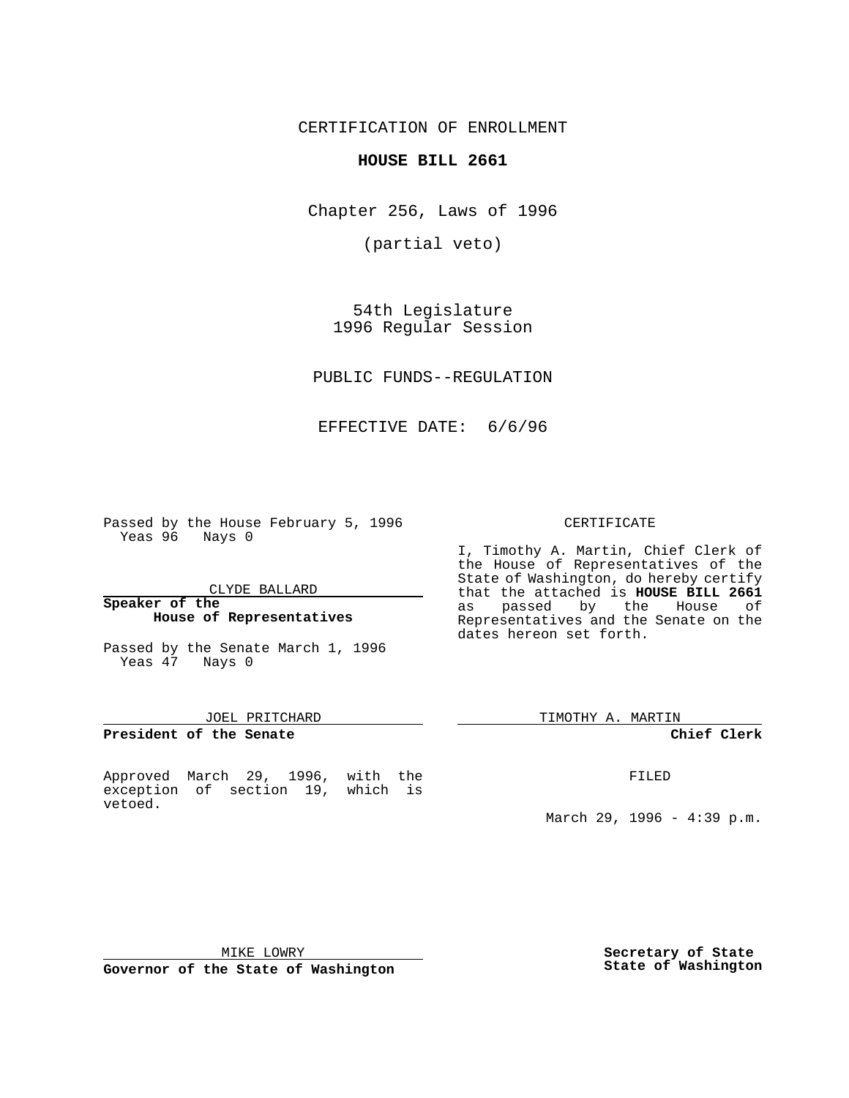CERTIFICATION OF ENROLLMENT

## **HOUSE BILL 2661**

Chapter 256, Laws of 1996

(partial veto)

54th Legislature 1996 Regular Session

PUBLIC FUNDS--REGULATION

EFFECTIVE DATE: 6/6/96

Passed by the House February 5, 1996 Yeas 96 Nays 0

CLYDE BALLARD

#### **Speaker of the House of Representatives**

Passed by the Senate March 1, 1996 Yeas 47 Nays 0

### JOEL PRITCHARD

**President of the Senate**

Approved March 29, 1996, with the exception of section 19, which is vetoed.

### CERTIFICATE

I, Timothy A. Martin, Chief Clerk of the House of Representatives of the State of Washington, do hereby certify that the attached is **HOUSE BILL 2661** as passed by the House of Representatives and the Senate on the dates hereon set forth.

TIMOTHY A. MARTIN

#### **Chief Clerk**

FILED

March 29, 1996 - 4:39 p.m.

MIKE LOWRY

**Governor of the State of Washington**

**Secretary of State State of Washington**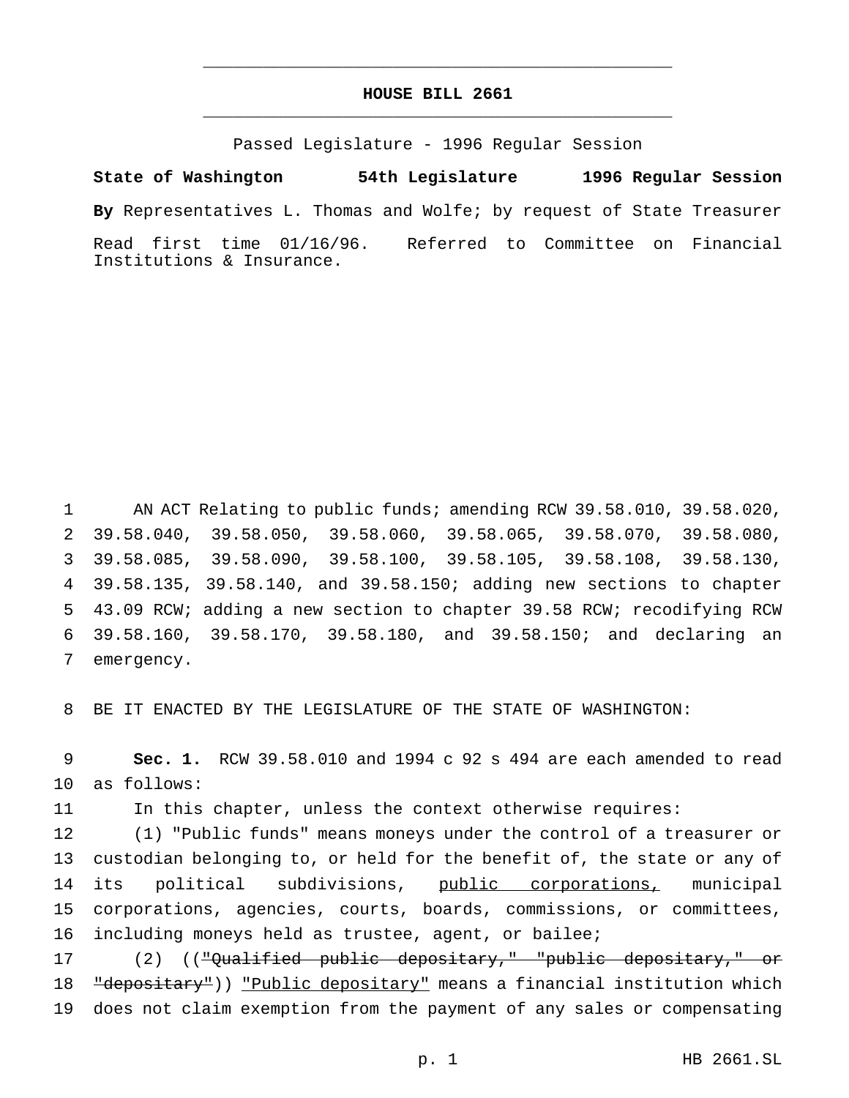# **HOUSE BILL 2661** \_\_\_\_\_\_\_\_\_\_\_\_\_\_\_\_\_\_\_\_\_\_\_\_\_\_\_\_\_\_\_\_\_\_\_\_\_\_\_\_\_\_\_\_\_\_\_

\_\_\_\_\_\_\_\_\_\_\_\_\_\_\_\_\_\_\_\_\_\_\_\_\_\_\_\_\_\_\_\_\_\_\_\_\_\_\_\_\_\_\_\_\_\_\_

Passed Legislature - 1996 Regular Session

**State of Washington 54th Legislature 1996 Regular Session By** Representatives L. Thomas and Wolfe; by request of State Treasurer Read first time 01/16/96. Referred to Committee on Financial Institutions & Insurance.

1 AN ACT Relating to public funds; amending RCW 39.58.010, 39.58.020, 39.58.040, 39.58.050, 39.58.060, 39.58.065, 39.58.070, 39.58.080, 39.58.085, 39.58.090, 39.58.100, 39.58.105, 39.58.108, 39.58.130, 39.58.135, 39.58.140, and 39.58.150; adding new sections to chapter 43.09 RCW; adding a new section to chapter 39.58 RCW; recodifying RCW 39.58.160, 39.58.170, 39.58.180, and 39.58.150; and declaring an emergency.

8 BE IT ENACTED BY THE LEGISLATURE OF THE STATE OF WASHINGTON:

9 **Sec. 1.** RCW 39.58.010 and 1994 c 92 s 494 are each amended to read 10 as follows:

11 In this chapter, unless the context otherwise requires:

 (1) "Public funds" means moneys under the control of a treasurer or custodian belonging to, or held for the benefit of, the state or any of 14 its political subdivisions, public corporations, municipal corporations, agencies, courts, boards, commissions, or committees, including moneys held as trustee, agent, or bailee;

17 (2) (("Qualified public depositary," "public depositary," or 18 "depositary")) "Public depositary" means a financial institution which 19 does not claim exemption from the payment of any sales or compensating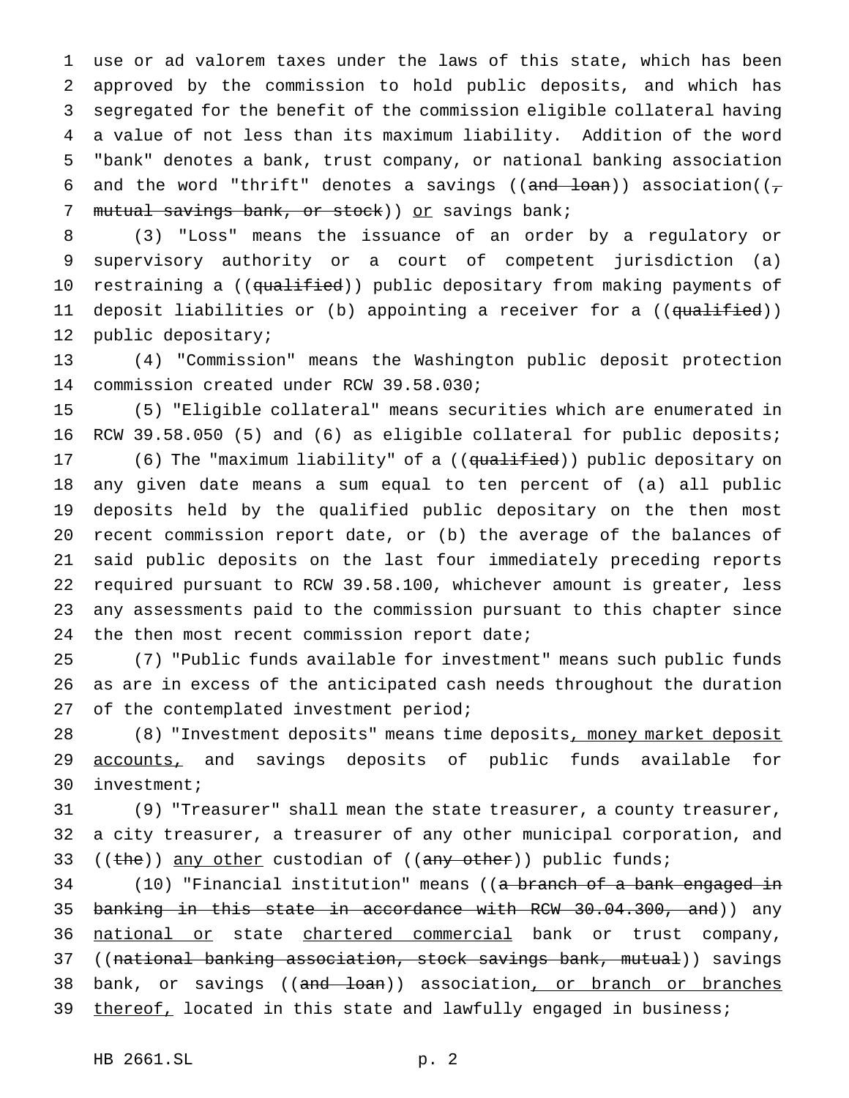use or ad valorem taxes under the laws of this state, which has been approved by the commission to hold public deposits, and which has segregated for the benefit of the commission eligible collateral having a value of not less than its maximum liability. Addition of the word "bank" denotes a bank, trust company, or national banking association 6 and the word "thrift" denotes a savings (( $\frac{1}{\text{and }\theta}$  ) association(( $\frac{1}{\pi}$ ) 7 mutual savings bank, or stock)) or savings bank;

8 (3) "Loss" means the issuance of an order by a regulatory or 9 supervisory authority or a court of competent jurisdiction (a) 10 restraining a ((qualified)) public depositary from making payments of 11 deposit liabilities or (b) appointing a receiver for a ((<del>qualified</del>)) 12 public depositary;

13 (4) "Commission" means the Washington public deposit protection 14 commission created under RCW 39.58.030;

15 (5) "Eligible collateral" means securities which are enumerated in 16 RCW 39.58.050 (5) and (6) as eligible collateral for public deposits;

17 (6) The "maximum liability" of a ((qualified)) public depositary on any given date means a sum equal to ten percent of (a) all public deposits held by the qualified public depositary on the then most recent commission report date, or (b) the average of the balances of said public deposits on the last four immediately preceding reports required pursuant to RCW 39.58.100, whichever amount is greater, less any assessments paid to the commission pursuant to this chapter since 24 the then most recent commission report date;

25 (7) "Public funds available for investment" means such public funds 26 as are in excess of the anticipated cash needs throughout the duration 27 of the contemplated investment period;

28 (8) "Investment deposits" means time deposits, money market deposit 29 accounts, and savings deposits of public funds available for 30 investment;

31 (9) "Treasurer" shall mean the state treasurer, a county treasurer, 32 a city treasurer, a treasurer of any other municipal corporation, and 33 ((the)) any other custodian of ((any other)) public funds;

34 (10) "Financial institution" means ((a branch of a bank engaged in 35 banking in this state in accordance with RCW 30.04.300, and)) any 36 national or state chartered commercial bank or trust company, 37 ((national banking association, stock savings bank, mutual)) savings 38 bank, or savings ((<del>and loan</del>)) association<u>, or branch or branches</u> 39 thereof, located in this state and lawfully engaged in business;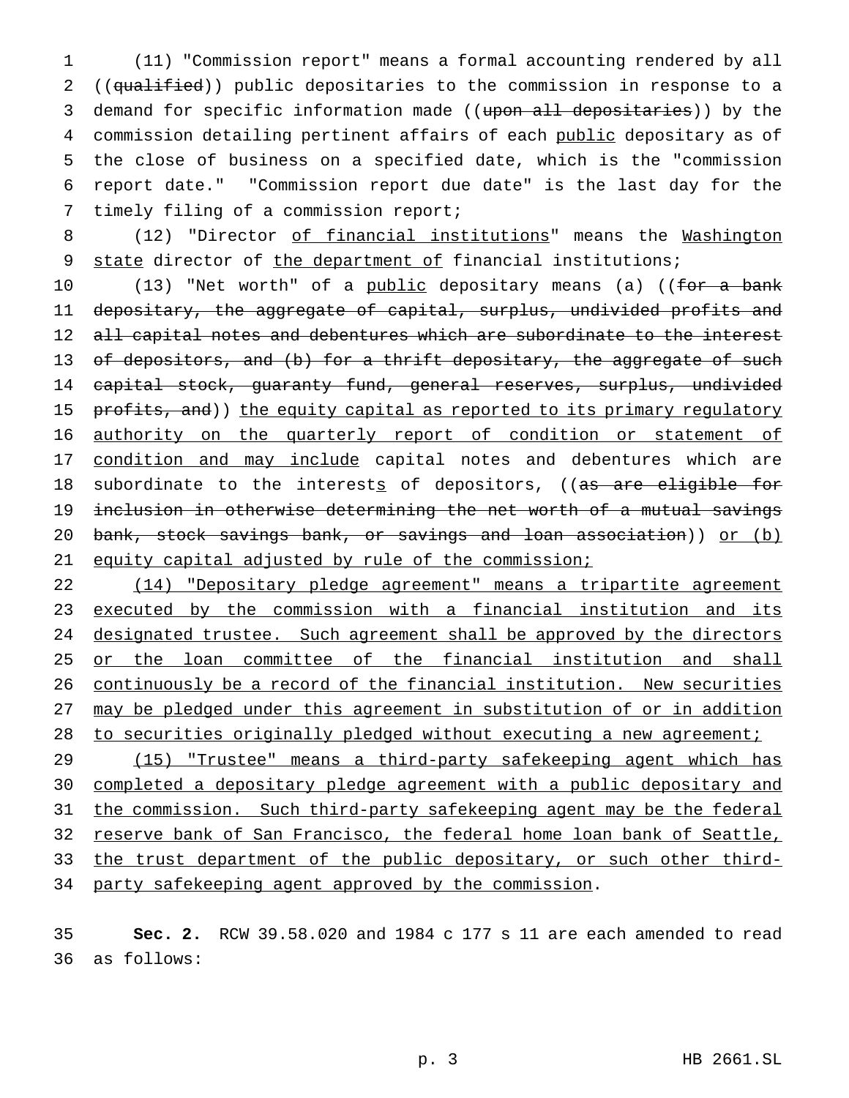1 (11) "Commission report" means a formal accounting rendered by all 2 ((qualified)) public depositaries to the commission in response to a 3 demand for specific information made ((upon all depositaries)) by the 4 commission detailing pertinent affairs of each public depositary as of 5 the close of business on a specified date, which is the "commission 6 report date." "Commission report due date" is the last day for the 7 timely filing of a commission report;

8 (12) "Director of financial institutions" means the Washington 9 state director of the department of financial institutions;

10 (13) "Net worth" of a public depositary means (a) ((for a bank 11 depositary, the aggregate of capital, surplus, undivided profits and 12 all capital notes and debentures which are subordinate to the interest 13 of depositors, and (b) for a thrift depositary, the aggregate of such 14 capital stock, guaranty fund, general reserves, surplus, undivided 15 profits, and)) the equity capital as reported to its primary regulatory 16 authority on the quarterly report of condition or statement of 17 condition and may include capital notes and debentures which are 18 subordinate to the interests of depositors, ((as are eligible for 19 inclusion in otherwise determining the net worth of a mutual savings 20 bank, stock savings bank, or savings and loan association)) or (b) 21 equity capital adjusted by rule of the commission;

22 (14) "Depositary pledge agreement" means a tripartite agreement 23 executed by the commission with a financial institution and its 24 designated trustee. Such agreement shall be approved by the directors 25 or the loan committee of the financial institution and shall 26 continuously be a record of the financial institution. New securities 27 may be pledged under this agreement in substitution of or in addition 28 to securities originally pledged without executing a new agreement;

29 (15) "Trustee" means a third-party safekeeping agent which has 30 completed a depositary pledge agreement with a public depositary and 31 the commission. Such third-party safekeeping agent may be the federal 32 reserve bank of San Francisco, the federal home loan bank of Seattle, 33 the trust department of the public depositary, or such other third-34 party safekeeping agent approved by the commission.

35 **Sec. 2.** RCW 39.58.020 and 1984 c 177 s 11 are each amended to read 36 as follows: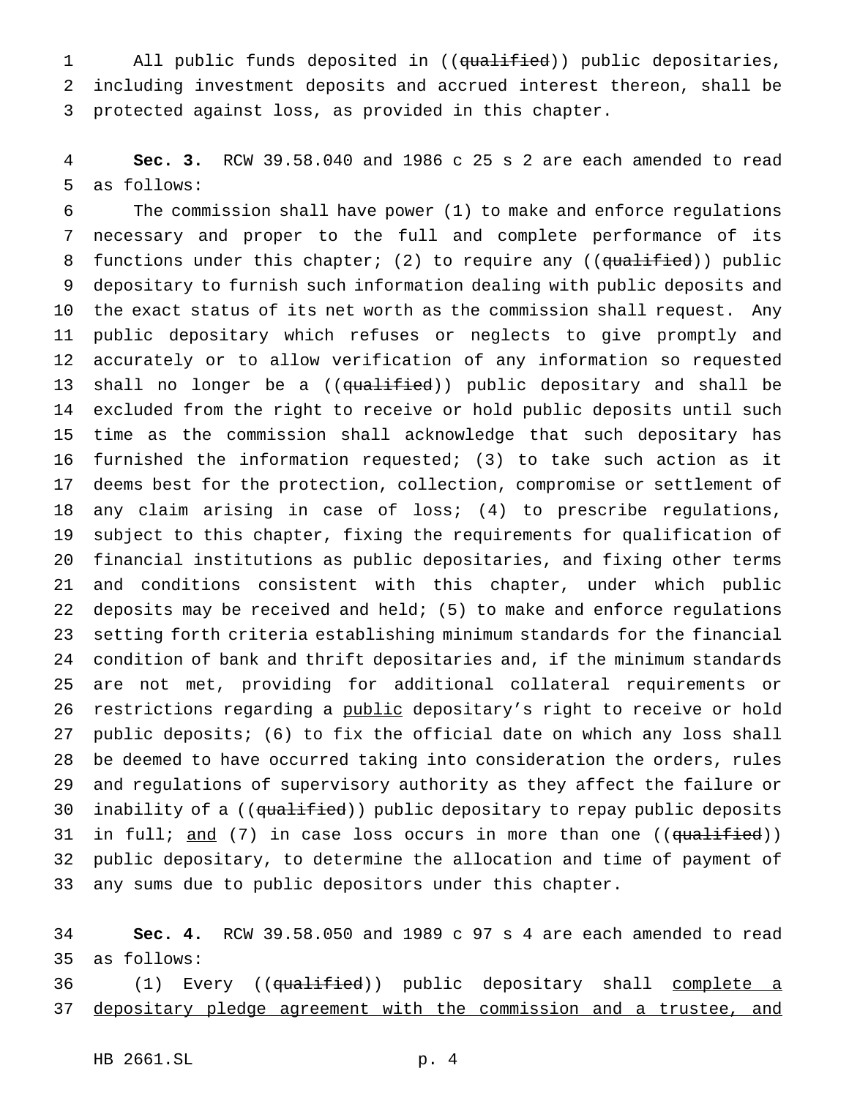1 All public funds deposited in ((qualified)) public depositaries, including investment deposits and accrued interest thereon, shall be protected against loss, as provided in this chapter.

 **Sec. 3.** RCW 39.58.040 and 1986 c 25 s 2 are each amended to read as follows:

 The commission shall have power (1) to make and enforce regulations necessary and proper to the full and complete performance of its 8 functions under this chapter; (2) to require any ((qualified)) public depositary to furnish such information dealing with public deposits and the exact status of its net worth as the commission shall request. Any public depositary which refuses or neglects to give promptly and accurately or to allow verification of any information so requested 13 shall no longer be a ((qualified)) public depositary and shall be excluded from the right to receive or hold public deposits until such time as the commission shall acknowledge that such depositary has furnished the information requested; (3) to take such action as it deems best for the protection, collection, compromise or settlement of any claim arising in case of loss; (4) to prescribe regulations, subject to this chapter, fixing the requirements for qualification of financial institutions as public depositaries, and fixing other terms and conditions consistent with this chapter, under which public deposits may be received and held; (5) to make and enforce regulations setting forth criteria establishing minimum standards for the financial condition of bank and thrift depositaries and, if the minimum standards are not met, providing for additional collateral requirements or 26 restrictions regarding a public depositary's right to receive or hold public deposits; (6) to fix the official date on which any loss shall be deemed to have occurred taking into consideration the orders, rules and regulations of supervisory authority as they affect the failure or 30 inability of a ((qualified)) public depositary to repay public deposits 31 in full;  $\frac{and}{?}$  (7) in case loss occurs in more than one (( $\frac{qualified}{)}$ ) public depositary, to determine the allocation and time of payment of any sums due to public depositors under this chapter.

 **Sec. 4.** RCW 39.58.050 and 1989 c 97 s 4 are each amended to read as follows:

36 (1) Every ((qualified)) public depositary shall complete a 37 depositary pledge agreement with the commission and a trustee, and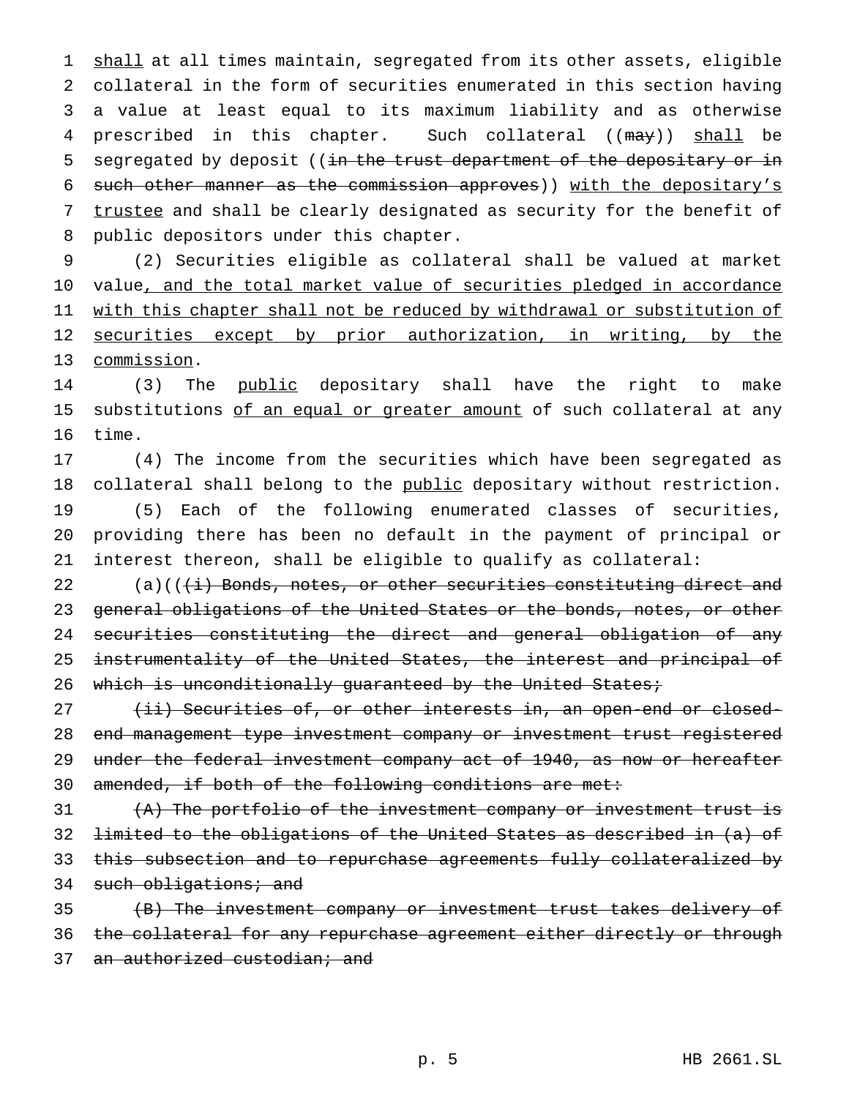1 shall at all times maintain, segregated from its other assets, eligible collateral in the form of securities enumerated in this section having a value at least equal to its maximum liability and as otherwise 4 prescribed in this chapter. Such collateral ((may)) shall be 5 segregated by deposit ((in the trust department of the depositary or in such other manner as the commission approves)) with the depositary's trustee and shall be clearly designated as security for the benefit of public depositors under this chapter.

9 (2) Securities eligible as collateral shall be valued at market 10 value, and the total market value of securities pledged in accordance 11 with this chapter shall not be reduced by withdrawal or substitution of 12 securities except by prior authorization, in writing, by the 13 commission.

14 (3) The public depositary shall have the right to make 15 substitutions of an equal or greater amount of such collateral at any 16 time.

 (4) The income from the securities which have been segregated as 18 collateral shall belong to the public depositary without restriction. (5) Each of the following enumerated classes of securities, providing there has been no default in the payment of principal or interest thereon, shall be eligible to qualify as collateral:

22 (a)((<del>(i) Bonds, notes, or other securities constituting direct and</del> 23 general obligations of the United States or the bonds, notes, or other 24 securities constituting the direct and general obligation of any 25 instrumentality of the United States, the interest and principal of 26 which is unconditionally guaranteed by the United States;

27 (ii) Securities of, or other interests in, an open-end or closed-28 end management type investment company or investment trust registered 29 under the federal investment company act of 1940, as now or hereafter 30 amended, if both of the following conditions are met:

 (A) The portfolio of the investment company or investment trust is limited to the obligations of the United States as described in (a) of this subsection and to repurchase agreements fully collateralized by 34 such obligations; and

35 (B) The investment company or investment trust takes delivery of 36 the collateral for any repurchase agreement either directly or through 37 an authorized custodian; and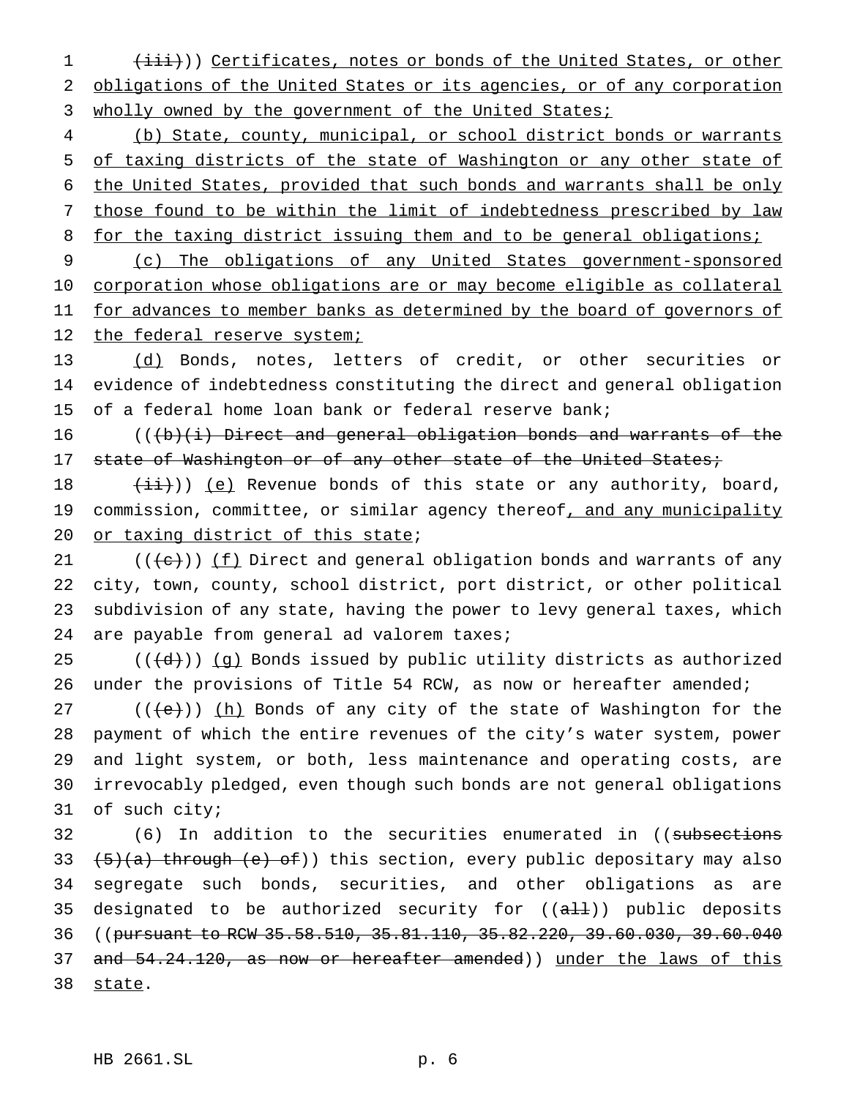1 (iii))) Certificates, notes or bonds of the United States, or other 2 obligations of the United States or its agencies, or of any corporation 3 wholly owned by the government of the United States;

 (b) State, county, municipal, or school district bonds or warrants of taxing districts of the state of Washington or any other state of the United States, provided that such bonds and warrants shall be only those found to be within the limit of indebtedness prescribed by law 8 for the taxing district issuing them and to be general obligations;

9 (c) The obligations of any United States government-sponsored 10 corporation whose obligations are or may become eligible as collateral 11 for advances to member banks as determined by the board of governors of 12 the federal reserve system;

13 (d) Bonds, notes, letters of credit, or other securities or 14 evidence of indebtedness constituting the direct and general obligation 15 of a federal home loan bank or federal reserve bank;

16  $((\n\dots)(\n\dots))$  Direct and general obligation bonds and warrants of the 17 state of Washington or of any other state of the United States;

18  $(iii)$ ) (e) Revenue bonds of this state or any authority, board, 19 commission, committee, or similar agency thereof, and any municipality 20 or taxing district of this state;

 $((\{e\})\)$  ( $f$ ) Direct and general obligation bonds and warrants of any city, town, county, school district, port district, or other political subdivision of any state, having the power to levy general taxes, which are payable from general ad valorem taxes;

25  $((\{d\})\)$  (g) Bonds issued by public utility districts as authorized 26 under the provisions of Title 54 RCW, as now or hereafter amended;

 $((e))$  (h) Bonds of any city of the state of Washington for the payment of which the entire revenues of the city's water system, power and light system, or both, less maintenance and operating costs, are irrevocably pledged, even though such bonds are not general obligations of such city;

32 (6) In addition to the securities enumerated in ((subsections 33  $(5)(a)$  through  $(e)$  of)) this section, every public depositary may also 34 segregate such bonds, securities, and other obligations as are 35 designated to be authorized security for  $((aH))$  public deposits 36 ((pursuant to RCW 35.58.510, 35.81.110, 35.82.220, 39.60.030, 39.60.040 37 and 54.24.120, as now or hereafter amended)) under the laws of this 38 state.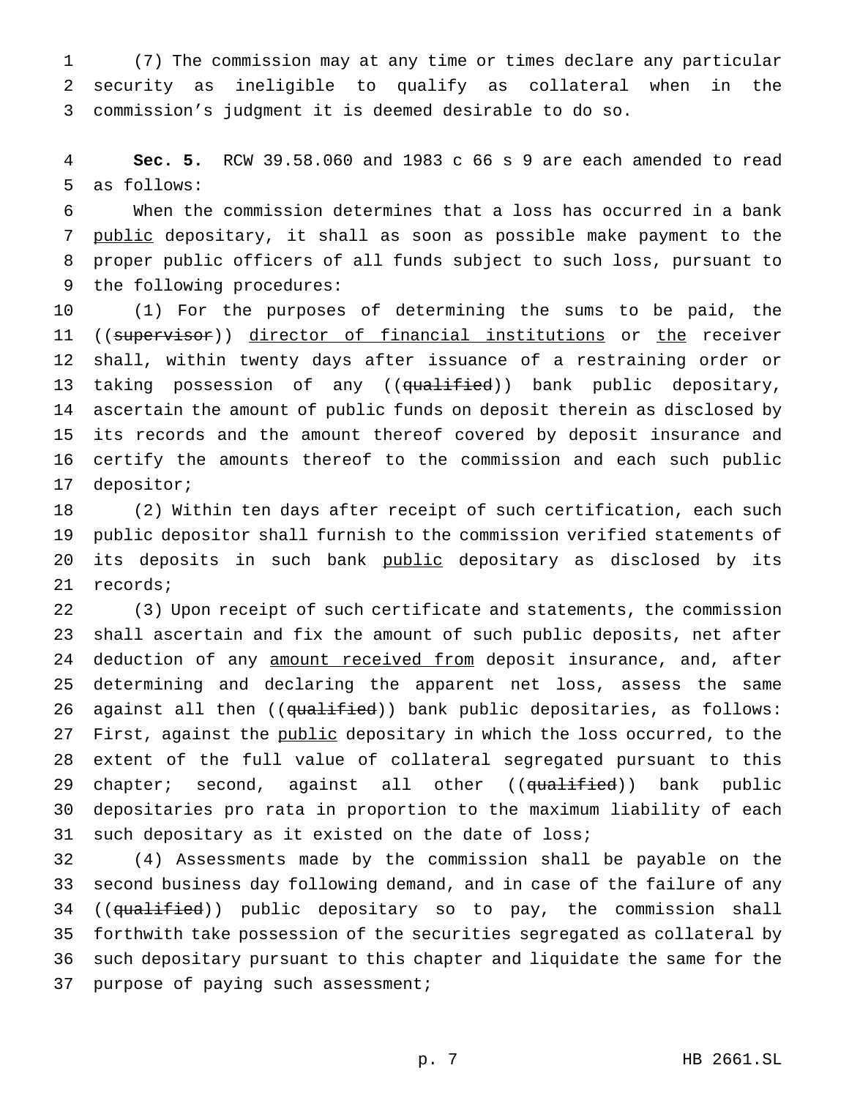(7) The commission may at any time or times declare any particular security as ineligible to qualify as collateral when in the commission's judgment it is deemed desirable to do so.

 **Sec. 5.** RCW 39.58.060 and 1983 c 66 s 9 are each amended to read as follows:

 When the commission determines that a loss has occurred in a bank 7 public depositary, it shall as soon as possible make payment to the proper public officers of all funds subject to such loss, pursuant to the following procedures:

 (1) For the purposes of determining the sums to be paid, the 11 ((supervisor)) director of financial institutions or the receiver shall, within twenty days after issuance of a restraining order or 13 taking possession of any ((qualified)) bank public depositary, ascertain the amount of public funds on deposit therein as disclosed by its records and the amount thereof covered by deposit insurance and certify the amounts thereof to the commission and each such public depositor;

 (2) Within ten days after receipt of such certification, each such public depositor shall furnish to the commission verified statements of 20 its deposits in such bank public depositary as disclosed by its records;

 (3) Upon receipt of such certificate and statements, the commission shall ascertain and fix the amount of such public deposits, net after 24 deduction of any amount received from deposit insurance, and, after determining and declaring the apparent net loss, assess the same 26 against all then ((qualified)) bank public depositaries, as follows: 27 First, against the public depositary in which the loss occurred, to the extent of the full value of collateral segregated pursuant to this 29 chapter; second, against all other ((qualified)) bank public depositaries pro rata in proportion to the maximum liability of each such depositary as it existed on the date of loss;

 (4) Assessments made by the commission shall be payable on the second business day following demand, and in case of the failure of any 34 ((qualified)) public depositary so to pay, the commission shall forthwith take possession of the securities segregated as collateral by such depositary pursuant to this chapter and liquidate the same for the 37 purpose of paying such assessment;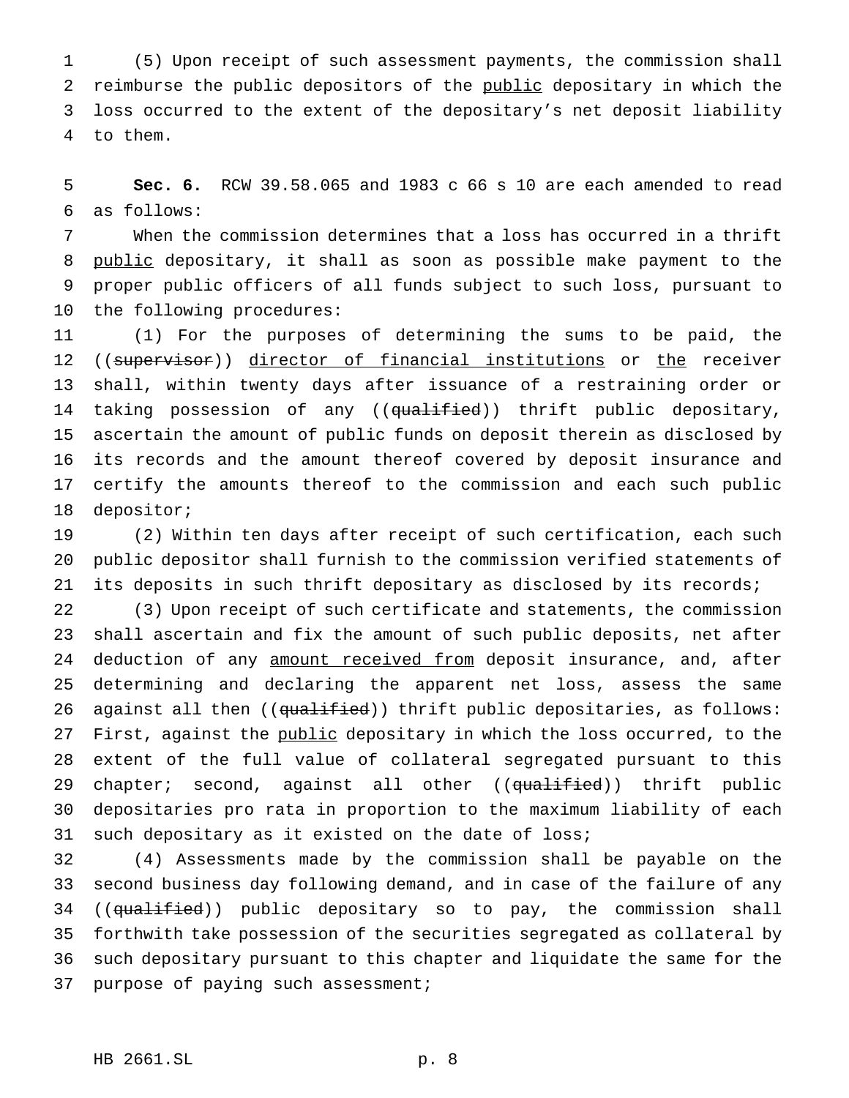(5) Upon receipt of such assessment payments, the commission shall 2 reimburse the public depositors of the public depositary in which the loss occurred to the extent of the depositary's net deposit liability to them.

 **Sec. 6.** RCW 39.58.065 and 1983 c 66 s 10 are each amended to read as follows:

 When the commission determines that a loss has occurred in a thrift 8 public depositary, it shall as soon as possible make payment to the proper public officers of all funds subject to such loss, pursuant to the following procedures:

 (1) For the purposes of determining the sums to be paid, the 12 ((supervisor)) director of financial institutions or the receiver shall, within twenty days after issuance of a restraining order or 14 taking possession of any ((qualified)) thrift public depositary, ascertain the amount of public funds on deposit therein as disclosed by its records and the amount thereof covered by deposit insurance and certify the amounts thereof to the commission and each such public depositor;

 (2) Within ten days after receipt of such certification, each such public depositor shall furnish to the commission verified statements of its deposits in such thrift depositary as disclosed by its records;

 (3) Upon receipt of such certificate and statements, the commission shall ascertain and fix the amount of such public deposits, net after 24 deduction of any amount received from deposit insurance, and, after determining and declaring the apparent net loss, assess the same 26 against all then ((qualified)) thrift public depositaries, as follows: 27 First, against the public depositary in which the loss occurred, to the extent of the full value of collateral segregated pursuant to this 29 chapter; second, against all other ((qualified)) thrift public depositaries pro rata in proportion to the maximum liability of each such depositary as it existed on the date of loss;

 (4) Assessments made by the commission shall be payable on the second business day following demand, and in case of the failure of any 34 ((qualified)) public depositary so to pay, the commission shall forthwith take possession of the securities segregated as collateral by such depositary pursuant to this chapter and liquidate the same for the purpose of paying such assessment;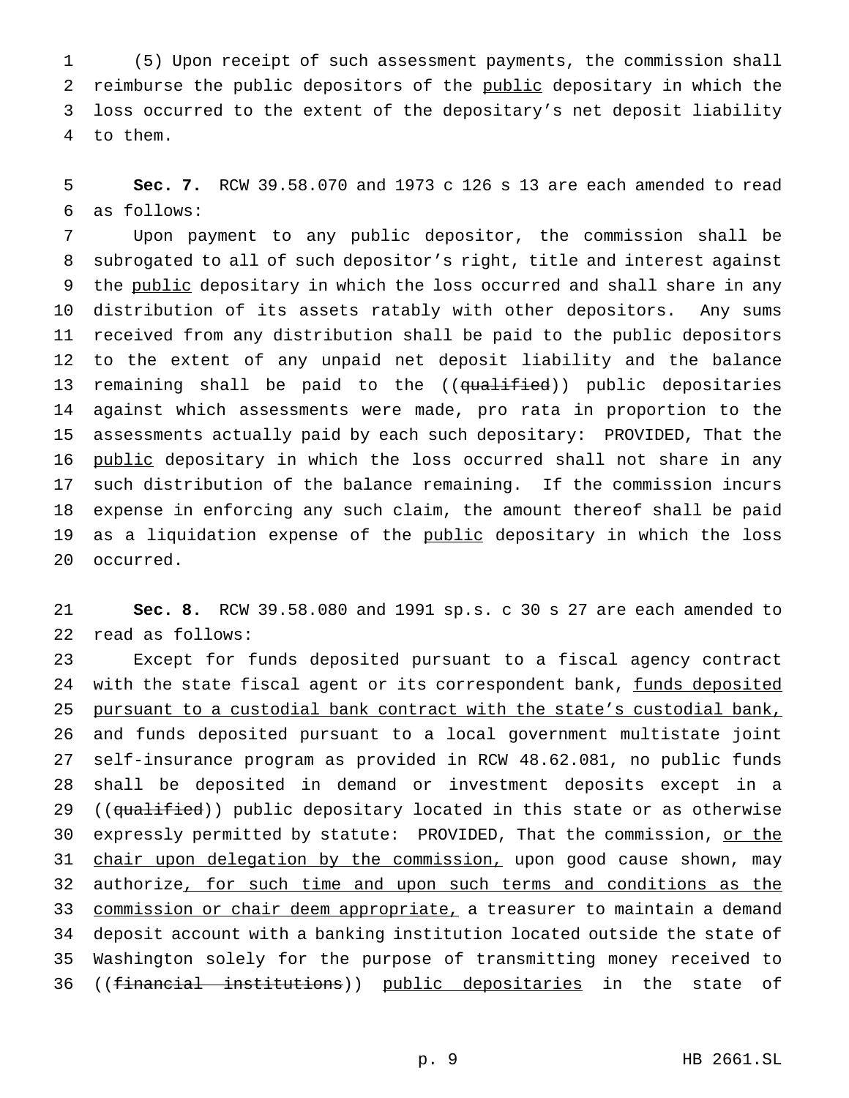(5) Upon receipt of such assessment payments, the commission shall 2 reimburse the public depositors of the public depositary in which the loss occurred to the extent of the depositary's net deposit liability to them.

 **Sec. 7.** RCW 39.58.070 and 1973 c 126 s 13 are each amended to read as follows:

 Upon payment to any public depositor, the commission shall be subrogated to all of such depositor's right, title and interest against 9 the public depositary in which the loss occurred and shall share in any distribution of its assets ratably with other depositors. Any sums received from any distribution shall be paid to the public depositors to the extent of any unpaid net deposit liability and the balance 13 remaining shall be paid to the ((qualified)) public depositaries against which assessments were made, pro rata in proportion to the assessments actually paid by each such depositary: PROVIDED, That the 16 public depositary in which the loss occurred shall not share in any such distribution of the balance remaining. If the commission incurs expense in enforcing any such claim, the amount thereof shall be paid 19 as a liquidation expense of the public depositary in which the loss occurred.

 **Sec. 8.** RCW 39.58.080 and 1991 sp.s. c 30 s 27 are each amended to read as follows:

 Except for funds deposited pursuant to a fiscal agency contract 24 with the state fiscal agent or its correspondent bank, funds deposited pursuant to a custodial bank contract with the state's custodial bank, and funds deposited pursuant to a local government multistate joint self-insurance program as provided in RCW 48.62.081, no public funds shall be deposited in demand or investment deposits except in a 29 ((qualified)) public depositary located in this state or as otherwise 30 expressly permitted by statute: PROVIDED, That the commission, or the 31 chair upon delegation by the commission, upon good cause shown, may 32 authorize, for such time and upon such terms and conditions as the 33 commission or chair deem appropriate, a treasurer to maintain a demand deposit account with a banking institution located outside the state of Washington solely for the purpose of transmitting money received to ((financial institutions)) public depositaries in the state of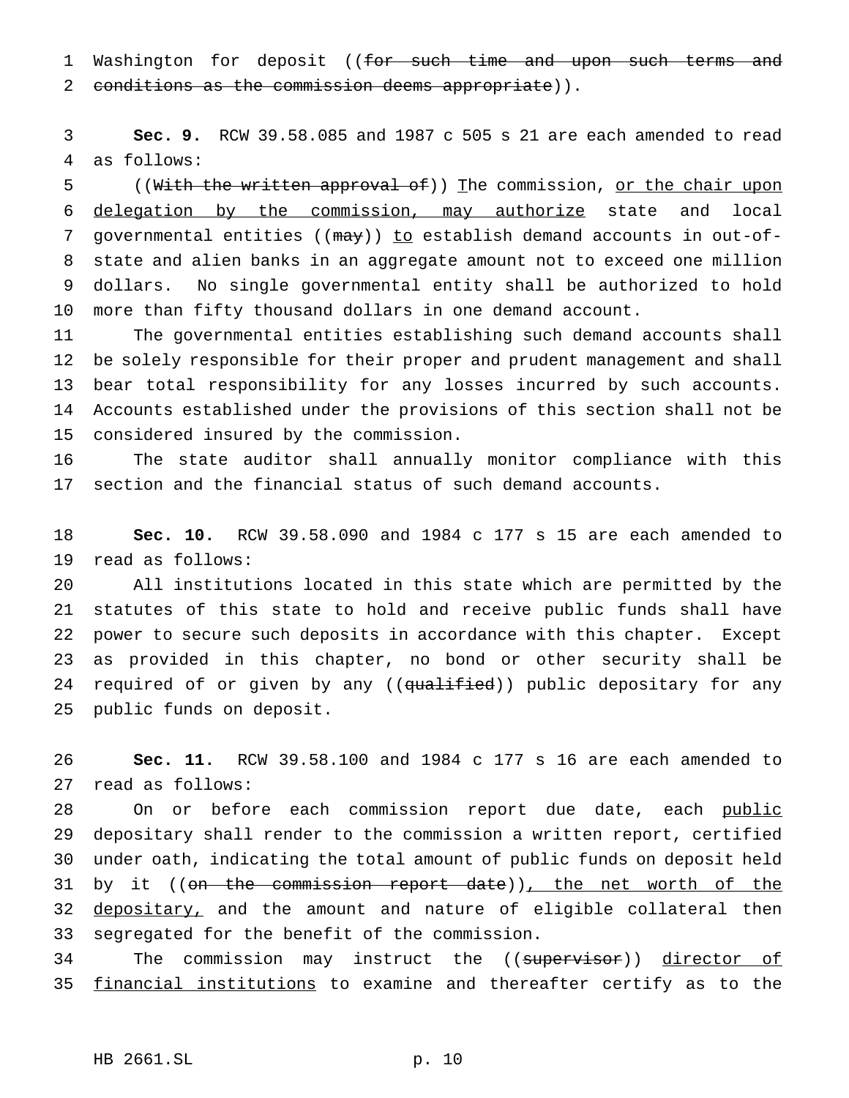1 Washington for deposit ((for such time and upon such terms and 2 conditions as the commission deems appropriate)).

 **Sec. 9.** RCW 39.58.085 and 1987 c 505 s 21 are each amended to read as follows:

5 ((With the written approval of)) The commission, or the chair upon delegation by the commission, may authorize state and local 7 governmental entities ((may)) to establish demand accounts in out-of- state and alien banks in an aggregate amount not to exceed one million dollars. No single governmental entity shall be authorized to hold more than fifty thousand dollars in one demand account.

 The governmental entities establishing such demand accounts shall be solely responsible for their proper and prudent management and shall bear total responsibility for any losses incurred by such accounts. Accounts established under the provisions of this section shall not be considered insured by the commission.

 The state auditor shall annually monitor compliance with this section and the financial status of such demand accounts.

 **Sec. 10.** RCW 39.58.090 and 1984 c 177 s 15 are each amended to read as follows:

 All institutions located in this state which are permitted by the statutes of this state to hold and receive public funds shall have power to secure such deposits in accordance with this chapter. Except as provided in this chapter, no bond or other security shall be 24 required of or given by any ((qualified)) public depositary for any public funds on deposit.

 **Sec. 11.** RCW 39.58.100 and 1984 c 177 s 16 are each amended to read as follows:

28 On or before each commission report due date, each public depositary shall render to the commission a written report, certified under oath, indicating the total amount of public funds on deposit held 31 by it ((on the commission report date)), the net worth of the 32 depositary, and the amount and nature of eligible collateral then segregated for the benefit of the commission.

34 The commission may instruct the ((supervisor)) director of 35 financial institutions to examine and thereafter certify as to the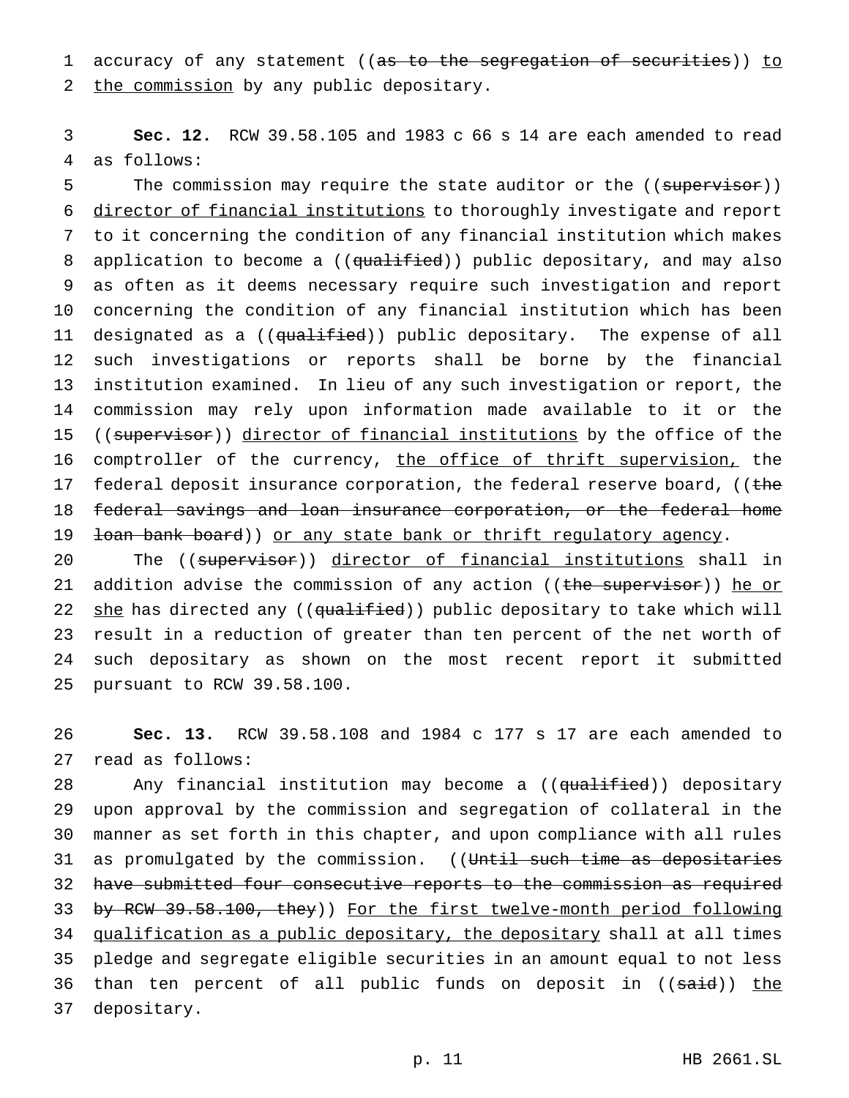1 accuracy of any statement ((as to the segregation of securities)) to 2 the commission by any public depositary.

3 **Sec. 12.** RCW 39.58.105 and 1983 c 66 s 14 are each amended to read 4 as follows:

5 The commission may require the state auditor or the ((supervisor)) 6 director of financial institutions to thoroughly investigate and report 7 to it concerning the condition of any financial institution which makes 8 application to become a ((qualified)) public depositary, and may also 9 as often as it deems necessary require such investigation and report 10 concerning the condition of any financial institution which has been 11 designated as a ((qualified)) public depositary. The expense of all 12 such investigations or reports shall be borne by the financial 13 institution examined. In lieu of any such investigation or report, the 14 commission may rely upon information made available to it or the 15 ((supervisor)) director of financial institutions by the office of the 16 comptroller of the currency, the office of thrift supervision, the 17 federal deposit insurance corporation, the federal reserve board, ((the 18 federal savings and loan insurance corporation, or the federal home 19 <del>loan bank board</del>)) or any state bank or thrift regulatory agency.

20 The ((supervisor)) director of financial institutions shall in 21 addition advise the commission of any action ((the supervisor)) he or 22 she has directed any ((qualified)) public depositary to take which will 23 result in a reduction of greater than ten percent of the net worth of 24 such depositary as shown on the most recent report it submitted 25 pursuant to RCW 39.58.100.

26 **Sec. 13.** RCW 39.58.108 and 1984 c 177 s 17 are each amended to 27 read as follows:

28 Any financial institution may become a ((qualified)) depositary 29 upon approval by the commission and segregation of collateral in the 30 manner as set forth in this chapter, and upon compliance with all rules 31 as promulgated by the commission. ((Until such time as depositaries 32 have submitted four consecutive reports to the commission as required 33 by RCW 39.58.100, they)) For the first twelve-month period following 34 qualification as a public depositary, the depositary shall at all times 35 pledge and segregate eligible securities in an amount equal to not less 36 than ten percent of all public funds on deposit in ((said)) the 37 depositary.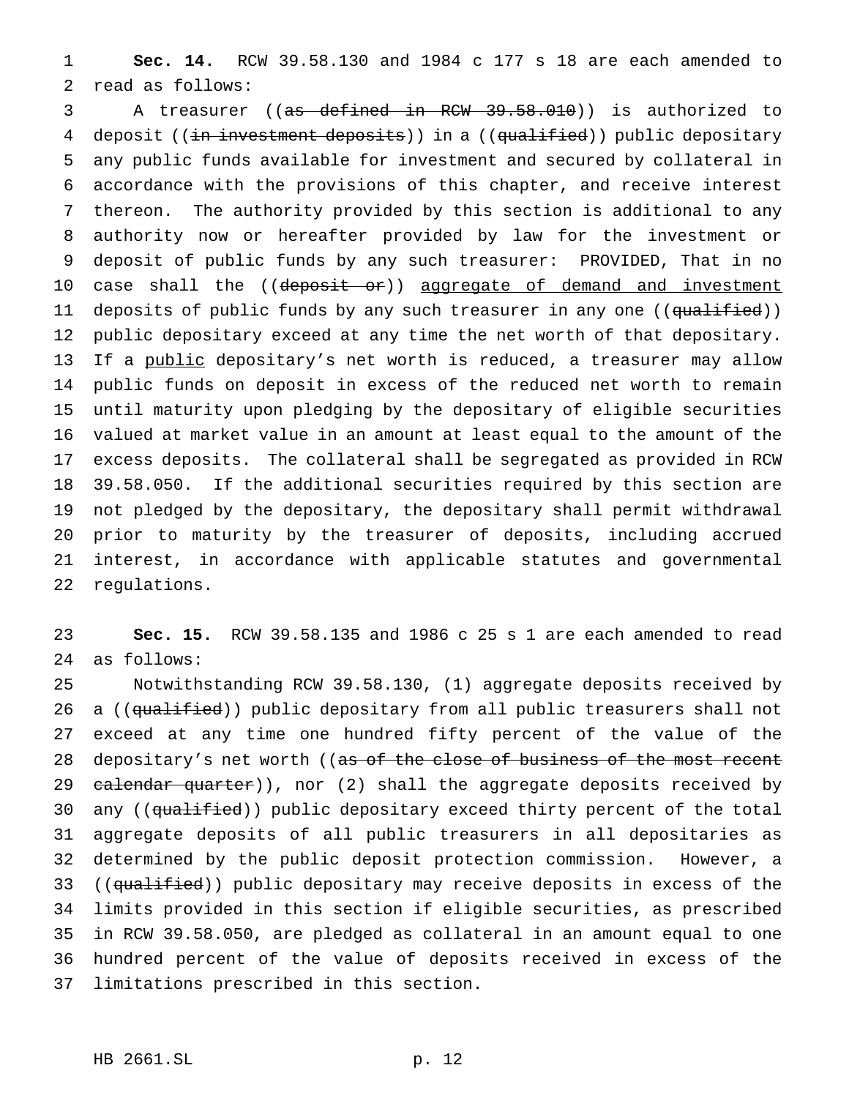**Sec. 14.** RCW 39.58.130 and 1984 c 177 s 18 are each amended to read as follows:

3 A treasurer ((as defined in RCW 39.58.010)) is authorized to 4 deposit ((in investment deposits)) in a ((qualified)) public depositary any public funds available for investment and secured by collateral in accordance with the provisions of this chapter, and receive interest thereon. The authority provided by this section is additional to any authority now or hereafter provided by law for the investment or deposit of public funds by any such treasurer: PROVIDED, That in no 10 case shall the ((deposit or)) aggregate of demand and investment 11 deposits of public funds by any such treasurer in any one ((<del>qualified</del>)) public depositary exceed at any time the net worth of that depositary. 13 If a public depositary's net worth is reduced, a treasurer may allow public funds on deposit in excess of the reduced net worth to remain until maturity upon pledging by the depositary of eligible securities valued at market value in an amount at least equal to the amount of the excess deposits. The collateral shall be segregated as provided in RCW 39.58.050. If the additional securities required by this section are not pledged by the depositary, the depositary shall permit withdrawal prior to maturity by the treasurer of deposits, including accrued interest, in accordance with applicable statutes and governmental regulations.

 **Sec. 15.** RCW 39.58.135 and 1986 c 25 s 1 are each amended to read as follows:

 Notwithstanding RCW 39.58.130, (1) aggregate deposits received by 26 a ((qualified)) public depositary from all public treasurers shall not exceed at any time one hundred fifty percent of the value of the 28 depositary's net worth ((as of the close of business of the most recent 29 calendar quarter)), nor (2) shall the aggregate deposits received by 30 any ((qualified)) public depositary exceed thirty percent of the total aggregate deposits of all public treasurers in all depositaries as determined by the public deposit protection commission. However, a 33 ((qualified)) public depositary may receive deposits in excess of the limits provided in this section if eligible securities, as prescribed in RCW 39.58.050, are pledged as collateral in an amount equal to one hundred percent of the value of deposits received in excess of the limitations prescribed in this section.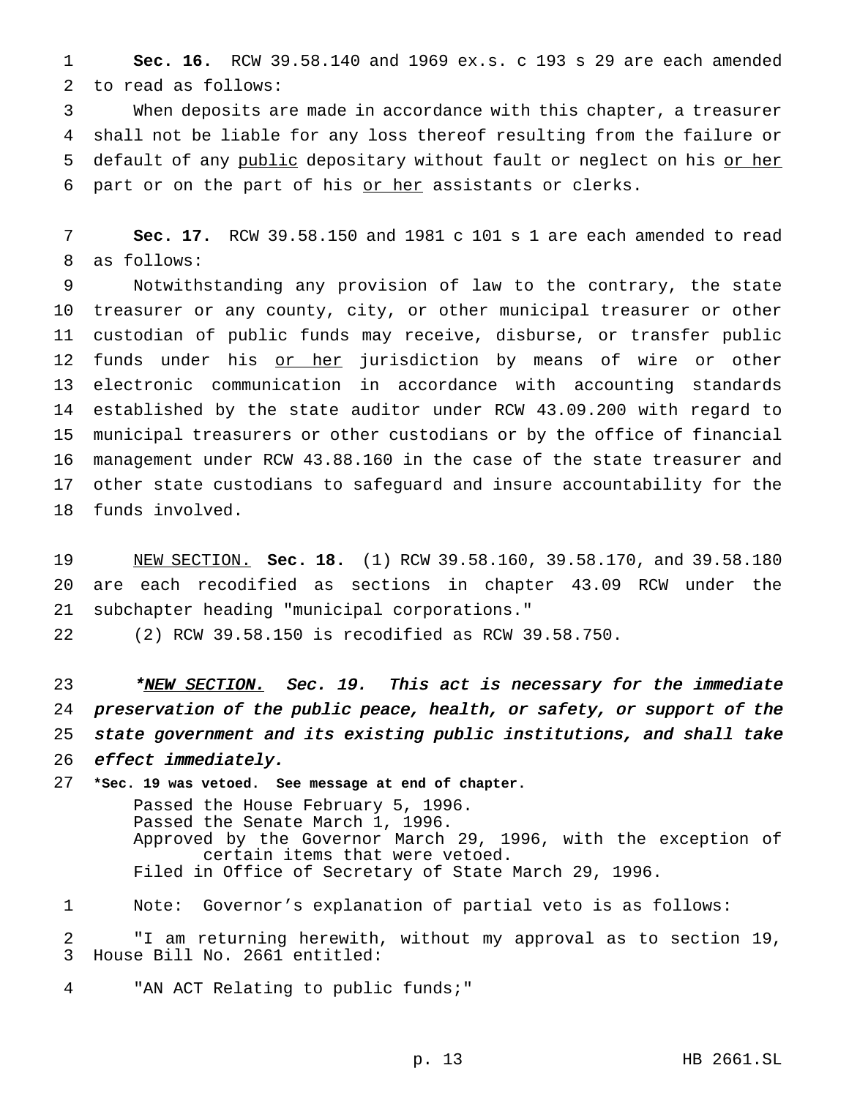**Sec. 16.** RCW 39.58.140 and 1969 ex.s. c 193 s 29 are each amended to read as follows:

 When deposits are made in accordance with this chapter, a treasurer shall not be liable for any loss thereof resulting from the failure or 5 default of any public depositary without fault or neglect on his or her part or on the part of his or her assistants or clerks.

 **Sec. 17.** RCW 39.58.150 and 1981 c 101 s 1 are each amended to read as follows:

 Notwithstanding any provision of law to the contrary, the state treasurer or any county, city, or other municipal treasurer or other custodian of public funds may receive, disburse, or transfer public 12 funds under his or her jurisdiction by means of wire or other electronic communication in accordance with accounting standards established by the state auditor under RCW 43.09.200 with regard to municipal treasurers or other custodians or by the office of financial management under RCW 43.88.160 in the case of the state treasurer and other state custodians to safeguard and insure accountability for the funds involved.

 NEW SECTION. **Sec. 18.** (1) RCW 39.58.160, 39.58.170, and 39.58.180 are each recodified as sections in chapter 43.09 RCW under the subchapter heading "municipal corporations."

(2) RCW 39.58.150 is recodified as RCW 39.58.750.

23 \*NEW SECTION. Sec. 19. This act is necessary for the immediate preservation of the public peace, health, or safety, or support of the state government and its existing public institutions, and shall take effect immediately.

 **\*Sec. 19 was vetoed. See message at end of chapter.** Passed the House February 5, 1996. Passed the Senate March 1, 1996. Approved by the Governor March 29, 1996, with the exception of certain items that were vetoed. Filed in Office of Secretary of State March 29, 1996. Note: Governor's explanation of partial veto is as follows:

 "I am returning herewith, without my approval as to section 19, House Bill No. 2661 entitled:

"AN ACT Relating to public funds;"

p. 13 HB 2661.SL